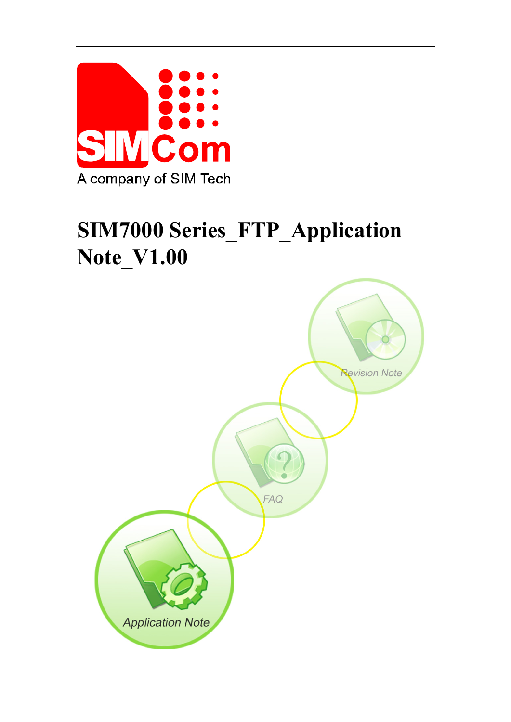

# **SIM7000 Series\_FTP\_Application Note\_V1.00**

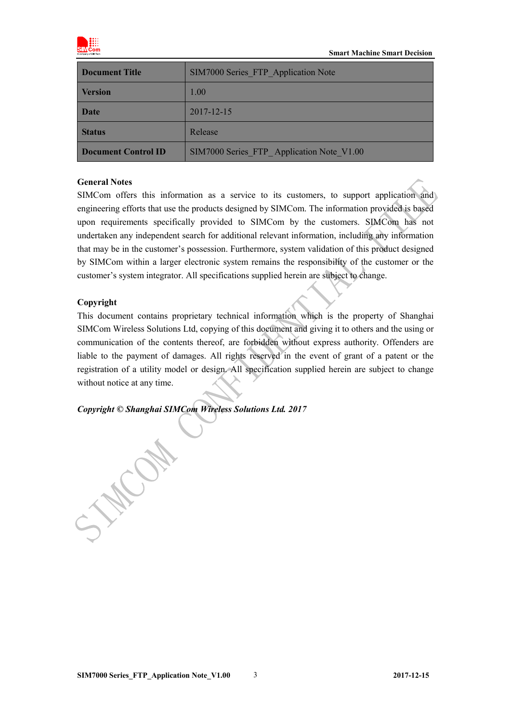

| <b>Document Title</b>      | SIM7000 Series FTP Application Note       |  |
|----------------------------|-------------------------------------------|--|
| <b>Version</b>             | 1.00                                      |  |
| Date                       | 2017-12-15                                |  |
| <b>Status</b>              | Release                                   |  |
| <b>Document Control ID</b> | SIM7000 Series FTP Application Note V1.00 |  |

#### **General Notes**

SIMCom offers this information as a service to its customers, to support application and engineering efforts that use the products designed by SIMCom. The information provided is based upon requirements specifically provided to SIMCom by the customers. SIMCom has not undertaken any independent search for additional relevant information, including any information that may be in the customer's possession. Furthermore, system validation of this product designed by SIMCom within a larger electronic system remains the responsibility of the customer or the customer's system integrator. All specifications supplied herein are subject to change.

#### **Copyright**

This document contains proprietary technical information which is the property of Shanghai SIMCom Wireless Solutions Ltd, copying of this document and giving it to others and the using or communication of the contents thereof, are forbidden without express authority. Offenders are liable to the payment of damages. All rights reserved in the event of grant of a patent or the registration of a utility model or design. All specification supplied herein are subject to change without notice at any time.

*Copyright © Shanghai SIMCom Wireless Solutions Ltd. 2017*

J.H.Com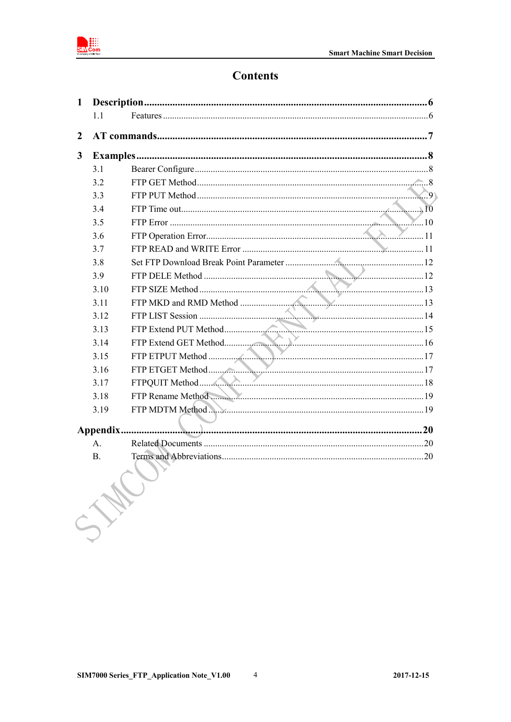

# **Contents**

| 1                |                |                   |  |
|------------------|----------------|-------------------|--|
|                  | 1 <sub>1</sub> |                   |  |
| $\boldsymbol{2}$ |                |                   |  |
| $\mathbf{3}$     |                |                   |  |
|                  | 3.1            |                   |  |
|                  | 3.2            |                   |  |
|                  | 3.3            |                   |  |
|                  | 3.4            |                   |  |
|                  | 3.5            |                   |  |
|                  | 3.6            |                   |  |
|                  | 3.7            |                   |  |
|                  | 3.8            |                   |  |
|                  | 3.9            |                   |  |
|                  | 3.10           |                   |  |
|                  | 3.11           |                   |  |
|                  | 3.12           |                   |  |
|                  | 3.13           |                   |  |
|                  | 3.14           |                   |  |
|                  | 3.15           |                   |  |
|                  | 3.16           |                   |  |
|                  | 3.17           |                   |  |
|                  | 3.18           | FTP Rename Method |  |
|                  | 3.19           |                   |  |
|                  |                |                   |  |
|                  | $\mathbf{A}$ . |                   |  |
|                  | Β.             |                   |  |
|                  |                |                   |  |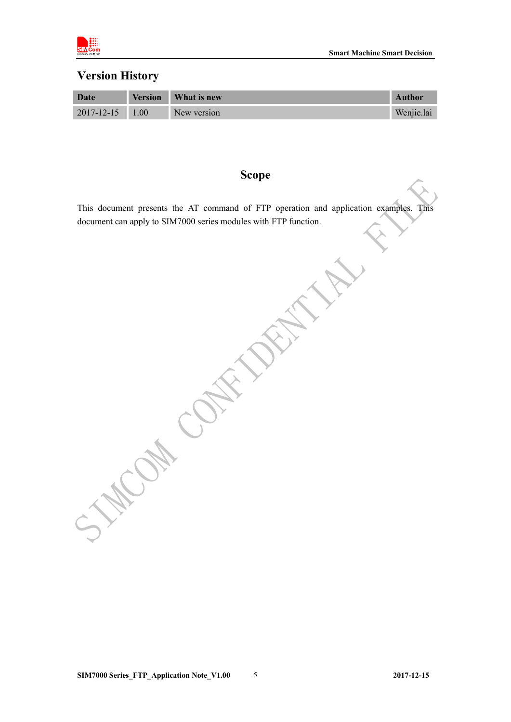

## **Version History**

| Date             | <b>Version</b> | <b>What is new</b> | Author     |
|------------------|----------------|--------------------|------------|
| $2017 - 12 - 15$ | 1.00           | New version        | Wenjie.lai |

## **Scope**

This document presents the AT command of FTP operation and application examples. This document can apply to SIM7000 series modules with FTP function.

**PRAIL** 

Kay Ca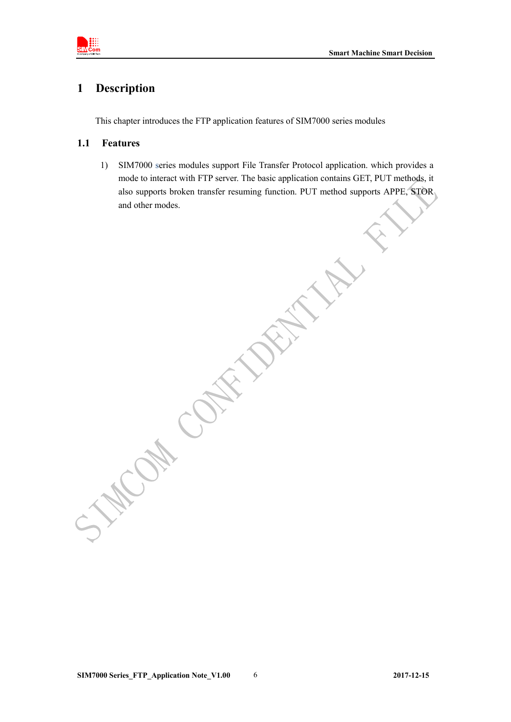

## <span id="page-4-0"></span>**1 Description**

This chapter introduces the FTP application features of SIM7000 series modules

#### <span id="page-4-1"></span>**1.1 Features**

1) SIM7000 series modules support File Transfer Protocol application. which provides a mode to interact with FTP server. The basic application contains GET, PUT methods, it also supports broken transfer resuming function. PUT method supports APPE, STOR and other modes.

**SIM7000 Series\_FTP\_Application Note\_V1.00** 6 **2017-12-15**

Kan Cal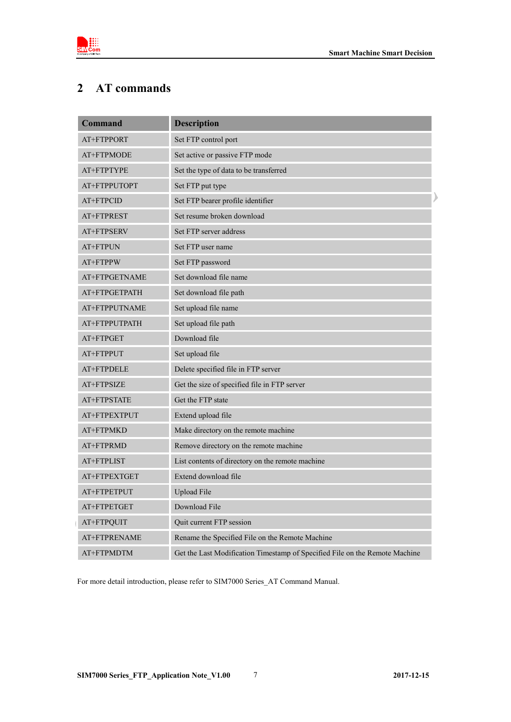

# <span id="page-5-0"></span>**2 AT commands**

| <b>Command</b> | <b>Description</b>                                                          |
|----------------|-----------------------------------------------------------------------------|
| AT+FTPPORT     | Set FTP control port                                                        |
| AT+FTPMODE     | Set active or passive FTP mode                                              |
| AT+FTPTYPE     | Set the type of data to be transferred                                      |
| AT+FTPPUTOPT   | Set FTP put type                                                            |
| AT+FTPCID      | Set FTP bearer profile identifier                                           |
| AT+FTPREST     | Set resume broken download                                                  |
| AT+FTPSERV     | Set FTP server address                                                      |
| AT+FTPUN       | Set FTP user name                                                           |
| AT+FTPPW       | Set FTP password                                                            |
| AT+FTPGETNAME  | Set download file name                                                      |
| AT+FTPGETPATH  | Set download file path                                                      |
| AT+FTPPUTNAME  | Set upload file name                                                        |
| AT+FTPPUTPATH  | Set upload file path                                                        |
| AT+FTPGET      | Download file                                                               |
| AT+FTPPUT      | Set upload file                                                             |
| AT+FTPDELE     | Delete specified file in FTP server                                         |
| AT+FTPSIZE     | Get the size of specified file in FTP server                                |
| AT+FTPSTATE    | Get the FTP state                                                           |
| AT+FTPEXTPUT   | Extend upload file                                                          |
| AT+FTPMKD      | Make directory on the remote machine                                        |
| AT+FTPRMD      | Remove directory on the remote machine                                      |
| AT+FTPLIST     | List contents of directory on the remote machine                            |
| AT+FTPEXTGET   | Extend download file                                                        |
| AT+FTPETPUT    | <b>Upload File</b>                                                          |
| AT+FTPETGET    | Download File                                                               |
| AT+FTPQUIT     | Quit current FTP session                                                    |
| AT+FTPRENAME   | Rename the Specified File on the Remote Machine                             |
| AT+FTPMDTM     | Get the Last Modification Timestamp of Specified File on the Remote Machine |

For more detail introduction, please refer to SIM7000 Series\_AT Command Manual.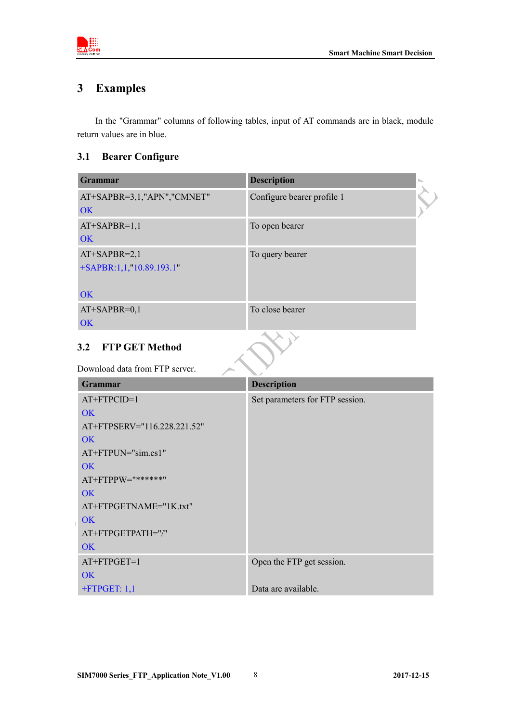

# <span id="page-6-0"></span>**3 Examples**

In the "Grammar" columns of following tables, input of AT commands are in black, module return values are in blue.

## <span id="page-6-1"></span>**3.1 Bearer Configure**

| Grammar                    | <b>Description</b>         |  |
|----------------------------|----------------------------|--|
| AT+SAPBR=3,1,"APN","CMNET" | Configure bearer profile 1 |  |
| <b>OK</b>                  |                            |  |
| $AT+SAPBR=1,1$             | To open bearer             |  |
| OK                         |                            |  |
| $AT+SAPBR=2,1$             | To query bearer            |  |
| +SAPBR:1,1,"10.89.193.1"   |                            |  |
|                            |                            |  |
| OK                         |                            |  |
| $AT+SAPBR=0,1$             | To close bearer            |  |
| <b>OK</b>                  |                            |  |
| 3.2 FTP GET Method         |                            |  |
| $P = 11100$                |                            |  |

## <span id="page-6-2"></span>**3.2 FTP GET Method**

#### Download data from FTP server.

| <b>Grammar</b>              | <b>Description</b>              |
|-----------------------------|---------------------------------|
| $AT+FTPCID=1$               | Set parameters for FTP session. |
| OK                          |                                 |
| AT+FTPSERV="116.228.221.52" |                                 |
| OK                          |                                 |
| $AT+FTPUN="sim.cs1"$        |                                 |
| OK                          |                                 |
| $AT+FTPPW=$ "******"        |                                 |
| OK                          |                                 |
| AT+FTPGETNAME="1K.txt"      |                                 |
| OK                          |                                 |
| AT+FTPGETPATH="/"           |                                 |
| <b>OK</b>                   |                                 |
| $AT+FTPGET=1$               | Open the FTP get session.       |
| OK                          |                                 |
| $+$ FTPGET: 1,1             | Data are available.             |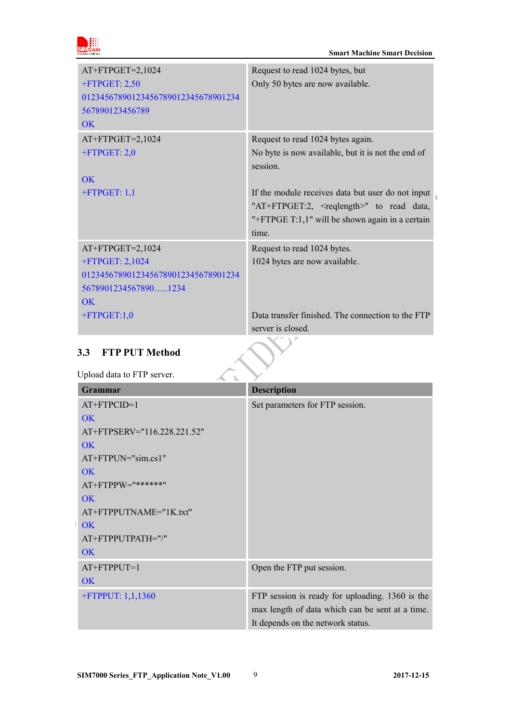

| $AT+FTPGET=2,1024$<br>$+$ FTPGET: 2,50<br>01234567890123456789012345678901234<br>567890123456789<br>OK | Request to read 1024 bytes, but<br>Only 50 bytes are now available. |
|--------------------------------------------------------------------------------------------------------|---------------------------------------------------------------------|
| $AT+FTPGET=2,1024$                                                                                     | Request to read 1024 bytes again.                                   |
| $+$ FTPGET: 2,0                                                                                        | No byte is now available, but it is not the end of                  |
|                                                                                                        | session.                                                            |
| OK                                                                                                     |                                                                     |
| $+$ FTPGET: 1,1                                                                                        | If the module receives data but user do not input                   |
|                                                                                                        | "AT+FTPGET:2, <reqlength>" to read data,</reqlength>                |
|                                                                                                        | "+FTPGE T:1,1" will be shown again in a certain                     |
|                                                                                                        | time.                                                               |
| $AT+FTPGET=2,1024$                                                                                     | Request to read 1024 bytes.                                         |
| +FTPGET: 2,1024                                                                                        | 1024 bytes are now available.                                       |
| 01234567890123456789012345678901234                                                                    |                                                                     |
| 56789012345678901234                                                                                   |                                                                     |
| $\overline{\text{OK}}$                                                                                 |                                                                     |
| $+$ FTPGET:1,0                                                                                         | Data transfer finished. The connection to the FTP                   |
|                                                                                                        | server is closed.                                                   |

## <span id="page-7-0"></span>**3.3 FTP PUT Method**

Upload data to FTP server.

| <b>Grammar</b>              | <b>Description</b>                              |
|-----------------------------|-------------------------------------------------|
| $AT+FTPCID=1$               | Set parameters for FTP session.                 |
| <b>OK</b>                   |                                                 |
| AT+FTPSERV="116.228.221.52" |                                                 |
| OK                          |                                                 |
| $AT+FTPUN="sim.cs1"$        |                                                 |
| <b>OK</b>                   |                                                 |
| $AT+FTPPW="******"$         |                                                 |
| <b>OK</b>                   |                                                 |
| AT+FTPPUTNAME="1K.txt"      |                                                 |
| <b>OK</b>                   |                                                 |
| AT+FTPPUTPATH="/"           |                                                 |
| <b>OK</b>                   |                                                 |
| $AT+FTPPUT=1$               | Open the FTP put session.                       |
| <b>OK</b>                   |                                                 |
| +FTPPUT: $1,1,1360$         | FTP session is ready for uploading. 1360 is the |
|                             | max length of data which can be sent at a time. |
|                             | It depends on the network status.               |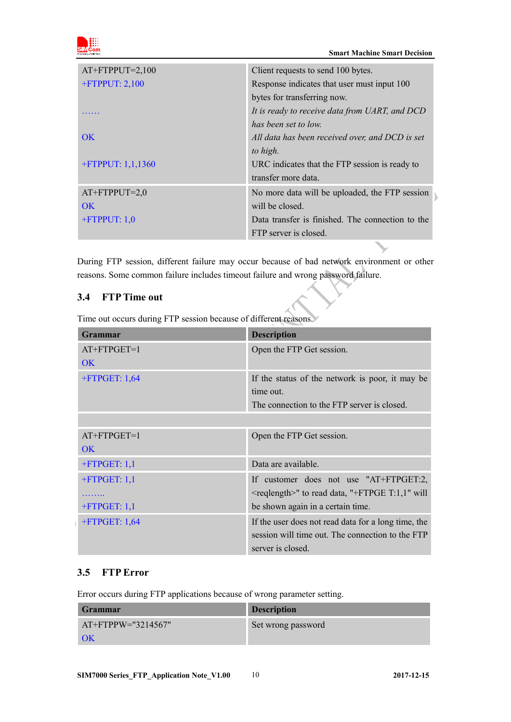

| $AT+FTPPUT=2,100$    | Client requests to send 100 bytes.               |
|----------------------|--------------------------------------------------|
| $+$ FTPPUT: 2,100    | Response indicates that user must input 100      |
|                      | bytes for transferring now.                      |
|                      | It is ready to receive data from UART, and DCD   |
|                      | has been set to low.                             |
| OK                   | All data has been received over, and DCD is set  |
|                      | to high.                                         |
| $+$ FTPPUT: 1,1,1360 | URC indicates that the FTP session is ready to   |
|                      | transfer more data.                              |
| $AT+FTPPUT=2,0$      | No more data will be uploaded, the FTP session   |
| OK.                  | will be closed.                                  |
| $+$ FTPPUT: 1,0      | Data transfer is finished. The connection to the |
|                      | FTP server is closed.                            |

During FTP session, different failure may occur because of bad network environment or other reasons. Some common failure includes timeout failure and wrong password failure.

## <span id="page-8-0"></span>**3.4 FTP Time out**

Time out occurs during FTP session because of different reasons.

| Grammar          | <b>Description</b>                                         |
|------------------|------------------------------------------------------------|
| $AT+FTPGET=1$    | Open the FTP Get session.                                  |
| <b>OK</b>        |                                                            |
| $+$ FTPGET: 1,64 | If the status of the network is poor, it may be            |
|                  | time out.                                                  |
|                  | The connection to the FTP server is closed.                |
|                  |                                                            |
| $AT+FTPGET=1$    | Open the FTP Get session.                                  |
| OK               |                                                            |
| $+$ FTPGET: 1,1  | Data are available.                                        |
| $+$ FTPGET: 1,1  | If customer does not use "AT+FTPGET:2,                     |
| .                | <reqlength>" to read data, "+FTPGE T:1,1" will</reqlength> |
| $+$ FTPGET: 1,1  | be shown again in a certain time.                          |
| $+$ FTPGET: 1,64 | If the user does not read data for a long time, the        |
|                  | session will time out. The connection to the FTP           |
|                  | server is closed.                                          |

## <span id="page-8-1"></span>**3.5 FTP Error**

Error occurs during FTP applications because of wrong parameter setting.

| <b>Grammar</b>        | <b>Description</b> |
|-----------------------|--------------------|
| $AT+FTPPW=$ "3214567" | Set wrong password |
| OK                    |                    |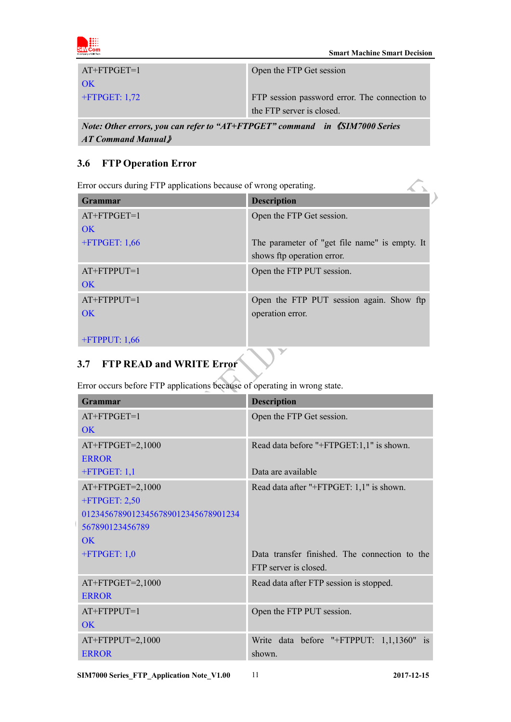

| $\mathcal{M}$ and $\mathcal{M}$ and $\mathcal{M}$ and $\mathcal{M}$ and $\mathcal{M}$ and $\mathcal{M}$ and $\mathcal{M}$ and $\mathcal{M}$ and $\mathcal{M}$ and $\mathcal{M}$ and $\mathcal{M}$ and $\mathcal{M}$ and $\mathcal{M}$ and $\mathcal{M}$ and $\mathcal{M}$ and $\mathcal{M}$ and $\mathcal{M}$ and |                                               |
|-------------------------------------------------------------------------------------------------------------------------------------------------------------------------------------------------------------------------------------------------------------------------------------------------------------------|-----------------------------------------------|
|                                                                                                                                                                                                                                                                                                                   | the FTP server is closed.                     |
| $+$ FTPGET: 1,72                                                                                                                                                                                                                                                                                                  | FTP session password error. The connection to |
| OK                                                                                                                                                                                                                                                                                                                |                                               |
| $AT+FTPGET=1$                                                                                                                                                                                                                                                                                                     | Open the FTP Get session                      |

*Note: Other errors, you can refer to "AT+FTPGET" command in 《SIM7000 Series AT Command Manual*》

## <span id="page-9-0"></span>**3.6 FTP Operation Error**

| Error occurs during FTP applications because of wrong operating. |                                                                             |  |
|------------------------------------------------------------------|-----------------------------------------------------------------------------|--|
| <b>Grammar</b>                                                   | <b>Description</b>                                                          |  |
| $AT+FTPGET=1$<br>OK                                              | Open the FTP Get session.                                                   |  |
| $+$ FTPGET: 1,66                                                 | The parameter of "get file name" is empty. It<br>shows ftp operation error. |  |
| $AT+FTPPUT=1$<br>OK                                              | Open the FTP PUT session.                                                   |  |
| $AT+FTPPUT=1$<br>OK                                              | Open the FTP PUT session again. Show ftp<br>operation error.                |  |
| $+$ FTPPUT: 1,66                                                 |                                                                             |  |

# <span id="page-9-1"></span>**3.7 FTP READ and WRITE Error**

Error occurs before FTP applications because of operating in wrong state.

|  | Grammar                             | <b>Description</b>                            |
|--|-------------------------------------|-----------------------------------------------|
|  | $AT+FTPGET=1$                       | Open the FTP Get session.                     |
|  | <b>OK</b>                           |                                               |
|  | AT+FTPGET=2,1000                    | Read data before "+FTPGET:1,1" is shown.      |
|  | <b>ERROR</b>                        |                                               |
|  | $+$ FTPGET: 1,1                     | Data are available                            |
|  | AT+FTPGET=2,1000                    | Read data after "+FTPGET: 1,1" is shown.      |
|  | $+$ FTPGET: 2,50                    |                                               |
|  | 01234567890123456789012345678901234 |                                               |
|  | 567890123456789                     |                                               |
|  | OK                                  |                                               |
|  | $+$ FTPGET: 1,0                     | Data transfer finished. The connection to the |
|  |                                     | FTP server is closed.                         |
|  | $AT+FTPGET=2,1000$                  | Read data after FTP session is stopped.       |
|  | <b>ERROR</b>                        |                                               |
|  | $AT+FTPPUT=1$                       | Open the FTP PUT session.                     |
|  | OK                                  |                                               |
|  | $AT+FTPPUT=2,1000$                  | Write data before "+FTPPUT: 1,1,1360" is      |
|  | <b>ERROR</b>                        | shown.                                        |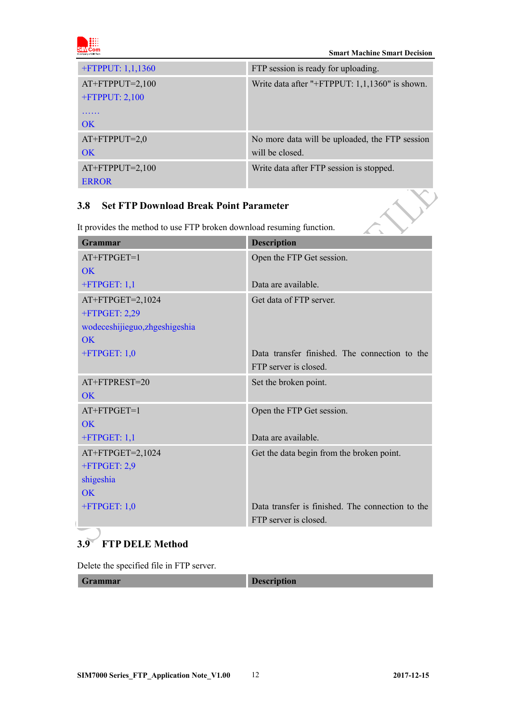

 $\overline{\mathbf{v}}$ 

| $+$ FTPPUT: 1,1,1360 | FTP session is ready for uploading.               |
|----------------------|---------------------------------------------------|
| $AT+FTPPUT=2,100$    | Write data after "+FTPPUT: $1,1,1360$ " is shown. |
| $+$ FTPPUT: 2,100    |                                                   |
| OK.                  |                                                   |
| $AT+FTPPUT=2,0$      | No more data will be uploaded, the FTP session    |
| OK                   | will be closed.                                   |
| $AT+FTPPUT=2,100$    | Write data after FTP session is stopped.          |
| <b>ERROR</b>         |                                                   |

#### <span id="page-10-0"></span>**3.8 Set FTP Download Break Point Parameter**

It provides the method to use FTP broken download resuming function.

| <b>Grammar</b>                 | <b>Description</b>                               |
|--------------------------------|--------------------------------------------------|
| AT+FTPGET=1                    | Open the FTP Get session.                        |
| OK                             |                                                  |
| $+$ FTPGET: 1,1                | Data are available.                              |
| AT+FTPGET=2,1024               | Get data of FTP server.                          |
| +FTPGET: 2,29                  |                                                  |
| wodeceshijieguo, zhgeshigeshia |                                                  |
| OK                             |                                                  |
| $+$ FTPGET: 1,0                | Data transfer finished. The connection to the    |
|                                | FTP server is closed.                            |
| $AT + FTPREST = 20$            | Set the broken point.                            |
| OK                             |                                                  |
| AT+FTPGET=1                    | Open the FTP Get session.                        |
| $\overline{\text{OK}}$         |                                                  |
| $+$ FTPGET: 1,1                | Data are available.                              |
| AT+FTPGET=2,1024               | Get the data begin from the broken point.        |
| $+$ FTPGET: 2,9                |                                                  |
| shigeshia                      |                                                  |
| OK                             |                                                  |
| $+$ FTPGET: 1,0                | Data transfer is finished. The connection to the |
|                                | FTP server is closed.                            |

## <span id="page-10-1"></span>**3.9 FTP DELE Method**

Delete the specified file in FTP server.

| <b>Grammar</b> |
|----------------|
|----------------|

**Description**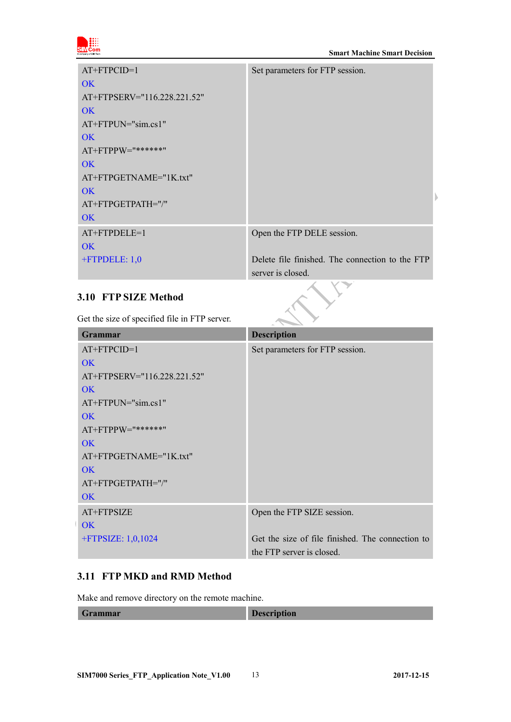

| $AT+FTPCID=1$               | Set parameters for FTP session.                 |
|-----------------------------|-------------------------------------------------|
| OK                          |                                                 |
| AT+FTPSERV="116.228.221.52" |                                                 |
| OK                          |                                                 |
| $AT+FTPUN="sim.cs1"$        |                                                 |
| <b>OK</b>                   |                                                 |
| AT+FTPPW="******"           |                                                 |
| OK                          |                                                 |
| $AT+FTPGETNAME="IK.txt"$    |                                                 |
| OK                          |                                                 |
| AT+FTPGETPATH="/"           |                                                 |
| OK                          |                                                 |
| $AT+FTPDELE=1$              | Open the FTP DELE session.                      |
| OK                          |                                                 |
| +FTPDELE: 1,0               | Delete file finished. The connection to the FTP |
|                             | server is closed.                               |

## <span id="page-11-0"></span>**3.10 FTP SIZE Method**

Get the size of specified file in FTP server.

| <b>Grammar</b>              | <b>Description</b>                               |
|-----------------------------|--------------------------------------------------|
| $AT+FTPCID=1$               | Set parameters for FTP session.                  |
| OK                          |                                                  |
| AT+FTPSERV="116.228.221.52" |                                                  |
| OK                          |                                                  |
| $AT+FTPUN="sim.cs1"$        |                                                  |
| OK                          |                                                  |
| $AT+FTPPW=$ "******"        |                                                  |
| OK                          |                                                  |
| AT+FTPGETNAME="1K.txt"      |                                                  |
| OK                          |                                                  |
| AT+FTPGETPATH="/"           |                                                  |
| <b>OK</b>                   |                                                  |
| AT+FTPSIZE                  | Open the FTP SIZE session.                       |
| OK                          |                                                  |
| $+$ FTPSIZE: 1,0,1024       | Get the size of file finished. The connection to |
|                             | the FTP server is closed.                        |

### <span id="page-11-1"></span>**3.11 FTP MKD and RMD Method**

Make and remove directory on the remote machine.

| Grammar | R<br><b>Description</b> |
|---------|-------------------------|
|         |                         |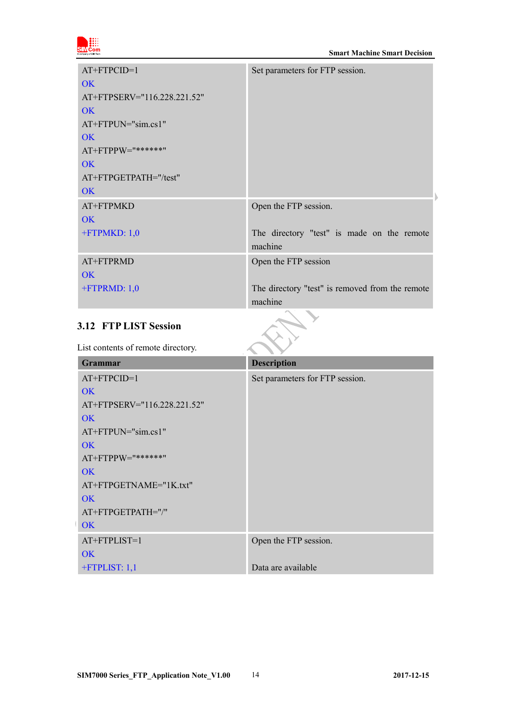

| $AT+FTPCID=1$               | Set parameters for FTP session.                 |
|-----------------------------|-------------------------------------------------|
| OK                          |                                                 |
| AT+FTPSERV="116.228.221.52" |                                                 |
| OK                          |                                                 |
| AT+FTPUN="sim.cs1"          |                                                 |
| OK                          |                                                 |
| AT+FTPPW="******"           |                                                 |
| <b>OK</b>                   |                                                 |
| AT+FTPGETPATH="/test"       |                                                 |
| <b>OK</b>                   |                                                 |
| AT+FTPMKD                   | Open the FTP session.                           |
| <b>OK</b>                   |                                                 |
| $+$ FTPMKD: $1,0$           | The directory "test" is made on the remote      |
|                             | machine                                         |
| AT+FTPRMD                   | Open the FTP session                            |
| OK.                         |                                                 |
| $+$ FTPRMD: $1,0$           | The directory "test" is removed from the remote |
|                             | machine                                         |

## <span id="page-12-0"></span>**3.12 FTP LIST Session**

List contents of remote directory.

| <b>Grammar</b>              | <b>Description</b>              |
|-----------------------------|---------------------------------|
| $AT+FTPCID=1$               | Set parameters for FTP session. |
| <b>OK</b>                   |                                 |
| AT+FTPSERV="116.228.221.52" |                                 |
| <b>OK</b>                   |                                 |
| $AT+FTPUN="sim.cs1"$        |                                 |
| <b>OK</b>                   |                                 |
| AT+FTPPW="******"           |                                 |
| <b>OK</b>                   |                                 |
| AT+FTPGETNAME="1K.txt"      |                                 |
| <b>OK</b>                   |                                 |
| AT+FTPGETPATH="/"           |                                 |
| <b>OK</b>                   |                                 |
| AT+FTPLIST=1                | Open the FTP session.           |
| <b>OK</b>                   |                                 |
| $+$ FTPLIST: 1,1            | Data are available              |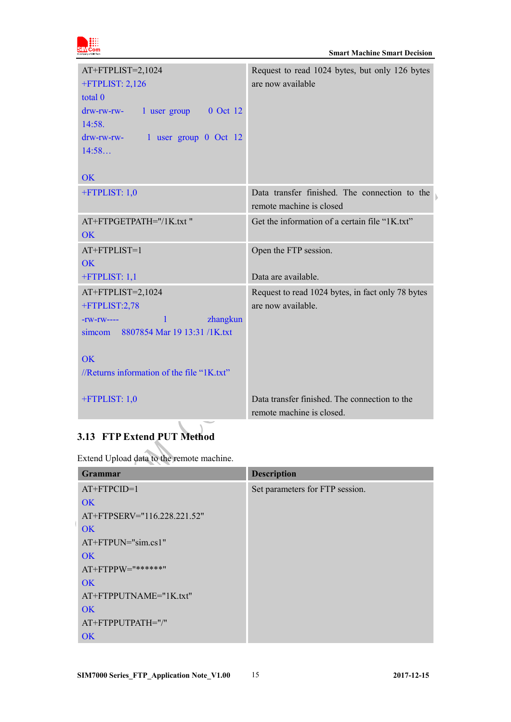

| AT+FTPLIST=2,1024<br>$+$ FTPLIST: 2,126<br>total 0<br>$d$ rw-rw-rw- 1 user group 0 Oct 12<br>14:58.<br>drw-rw-rw- 1 user group 0 Oct 12<br>14:58<br>OK                                               | Request to read 1024 bytes, but only 126 bytes<br>are now available        |
|------------------------------------------------------------------------------------------------------------------------------------------------------------------------------------------------------|----------------------------------------------------------------------------|
| +FTPLIST: 1,0                                                                                                                                                                                        | Data transfer finished. The connection to the<br>remote machine is closed  |
| AT+FTPGETPATH="/1K.txt"<br>OK                                                                                                                                                                        | Get the information of a certain file "1K.txt"                             |
| AT+FTPLIST=1                                                                                                                                                                                         | Open the FTP session.                                                      |
| <b>OK</b><br>$+$ FTPLIST: 1,1                                                                                                                                                                        | Data are available.                                                        |
| AT+FTPLIST=2,1024<br>+FTPLIST:2,78<br><b>Example 1</b> <i>zhangkun</i><br>$\vert$ 1<br>$-TW-TW---$<br>simcom 8807854 Mar 19 13:31 /1K.txt<br><b>OK</b><br>//Returns information of the file "1K.txt" | Request to read 1024 bytes, in fact only 78 bytes<br>are now available.    |
| $+$ FTPLIST: 1,0                                                                                                                                                                                     | Data transfer finished. The connection to the<br>remote machine is closed. |

# <span id="page-13-0"></span>**3.13 FTP Extend PUT Method**

Extend Upload data to the remote machine.

| <b>Grammar</b>              | <b>Description</b>              |
|-----------------------------|---------------------------------|
| $AT+FTPCID=1$               | Set parameters for FTP session. |
| OK                          |                                 |
| AT+FTPSERV="116.228.221.52" |                                 |
| OK                          |                                 |
| $AT+FTPUN="sim.cs1"$        |                                 |
| OK                          |                                 |
| AT+FTPPW="******"           |                                 |
| OK                          |                                 |
| AT+FTPPUTNAME="1K.txt"      |                                 |
| OK                          |                                 |
| AT+FTPPUTPATH="/"           |                                 |
| OK                          |                                 |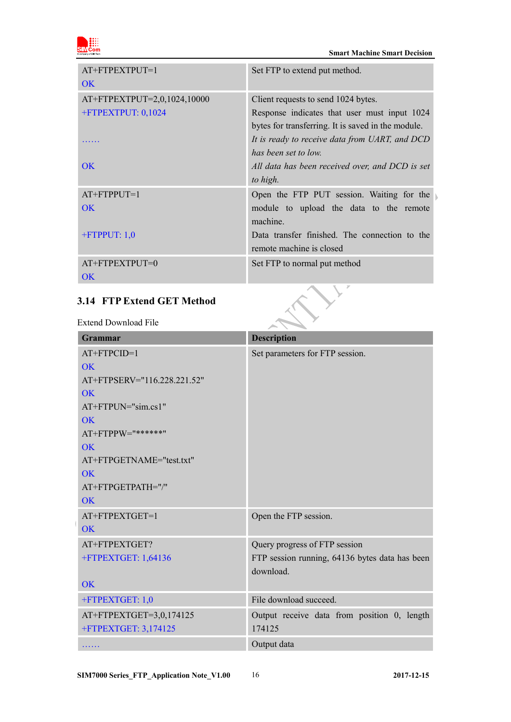

| AT+FTPEXTPUT=1<br><b>OK</b>                                    | Set FTP to extend put method.                                                                                                                                                                                       |
|----------------------------------------------------------------|---------------------------------------------------------------------------------------------------------------------------------------------------------------------------------------------------------------------|
| AT+FTPEXTPUT=2,0,1024,10000<br>+FTPEXTPUT: 0,1024<br><b>OK</b> | Client requests to send 1024 bytes.<br>Response indicates that user must input 1024<br>bytes for transferring. It is saved in the module.<br>It is ready to receive data from UART, and DCD<br>has been set to low. |
|                                                                | All data has been received over, and DCD is set<br>to high.                                                                                                                                                         |
| $AT+FTPPUT=1$<br>$\overline{\text{OK}}$                        | Open the FTP PUT session. Waiting for the<br>module to upload the data to the remote<br>machine.                                                                                                                    |
| $+$ FTPPUT: 1,0                                                | Data transfer finished. The connection to the<br>remote machine is closed                                                                                                                                           |
| AT+FTPEXTPUT=0<br>$\overline{\text{OK}}$                       | Set FTP to normal put method                                                                                                                                                                                        |
| 3.14 FTP Extend GET Method<br>Extend Download File             |                                                                                                                                                                                                                     |

## <span id="page-14-0"></span>**3.14 FTP Extend GET Method**

Extend Download File

| <b>Grammar</b>              | <b>Description</b>                             |
|-----------------------------|------------------------------------------------|
| AT+FTPCID=1                 | Set parameters for FTP session.                |
| OK                          |                                                |
| AT+FTPSERV="116.228.221.52" |                                                |
| <b>OK</b>                   |                                                |
| AT+FTPUN="sim.cs1"          |                                                |
| <b>OK</b>                   |                                                |
| AT+FTPPW="******"           |                                                |
| OK                          |                                                |
| AT+FTPGETNAME="test.txt"    |                                                |
| <b>OK</b>                   |                                                |
| AT+FTPGETPATH="/"           |                                                |
| <b>OK</b>                   |                                                |
| AT+FTPEXTGET=1              | Open the FTP session.                          |
| <b>OK</b>                   |                                                |
| AT+FTPEXTGET?               | Query progress of FTP session                  |
| +FTPEXTGET: 1,64136         | FTP session running, 64136 bytes data has been |
|                             | download.                                      |
| <b>OK</b>                   |                                                |
| +FTPEXTGET: 1,0             | File download succeed.                         |
| AT+FTPEXTGET=3,0,174125     | Output receive data from position 0, length    |
| +FTPEXTGET: 3,174125        | 174125                                         |
| .                           | Output data                                    |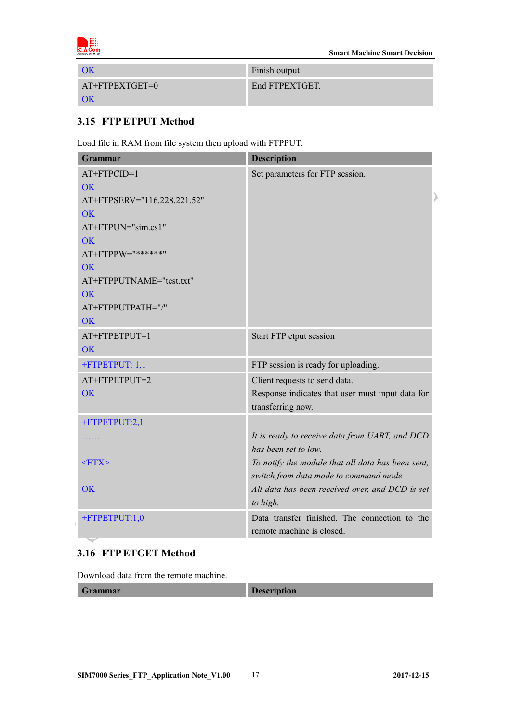

|                  | Finish output  |
|------------------|----------------|
| $AT+FTPEXTGET=0$ | End FTPEXTGET. |
|                  |                |

### <span id="page-15-0"></span>**3.15 FTP ETPUT Method**

Load file in RAM from file system then upload with FTPPUT.

| Grammar                     | <b>Description</b>                                |
|-----------------------------|---------------------------------------------------|
| AT+FTPCID=1                 | Set parameters for FTP session.                   |
| <b>OK</b>                   |                                                   |
| AT+FTPSERV="116.228.221.52" |                                                   |
| $\overline{\text{OK}}$      |                                                   |
| AT+FTPUN="sim.cs1"          |                                                   |
| $\overline{\text{OK}}$      |                                                   |
| AT+FTPPW="******"           |                                                   |
| <b>OK</b>                   |                                                   |
| AT+FTPPUTNAME="test.txt"    |                                                   |
| <b>OK</b>                   |                                                   |
| AT+FTPPUTPATH="/"           |                                                   |
| <b>OK</b>                   |                                                   |
| AT+FTPETPUT=1               | Start FTP etput session                           |
| <b>OK</b>                   |                                                   |
| +FTPETPUT: 1,1              | FTP session is ready for uploading.               |
| AT+FTPETPUT=2               | Client requests to send data.                     |
| <b>OK</b>                   | Response indicates that user must input data for  |
|                             | transferring now.                                 |
| +FTPETPUT:2,1               |                                                   |
| .                           | It is ready to receive data from UART, and DCD    |
|                             | has been set to low.                              |
| $<$ ETX $>$                 | To notify the module that all data has been sent, |
|                             | switch from data mode to command mode             |
| OK                          | All data has been received over, and DCD is set   |
|                             | to high.                                          |
| +FTPETPUT:1,0               | Data transfer finished. The connection to the     |
|                             | remote machine is closed.                         |

#### <span id="page-15-1"></span>**3.16 FTP ETGET Method**

Download data from the remote machine.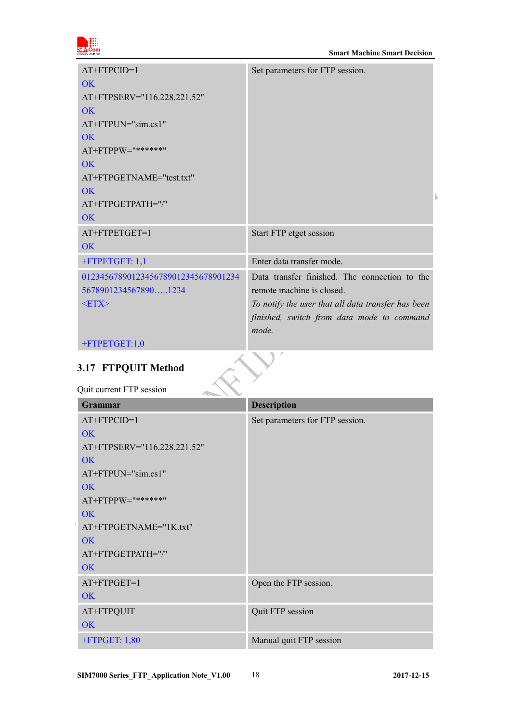

| $AT+FTPCID=1$                       | Set parameters for FTP session.                    |
|-------------------------------------|----------------------------------------------------|
| $\overline{\text{OK}}$              |                                                    |
| AT+FTPSERV="116.228.221.52"         |                                                    |
| OK                                  |                                                    |
| $AT+FTPUN="sim.cs1"$                |                                                    |
| OK                                  |                                                    |
| AT+FTPPW="******"                   |                                                    |
| OK                                  |                                                    |
| AT+FTPGETNAME="test.txt"            |                                                    |
| OK                                  |                                                    |
| AT+FTPGETPATH="/"                   |                                                    |
| OK                                  |                                                    |
| AT+FTPETGET=1                       | Start FTP etget session                            |
| OK                                  |                                                    |
| +FTPETGET: 1,1                      | Enter data transfer mode.                          |
| 01234567890123456789012345678901234 | Data transfer finished. The connection to the      |
| 56789012345678901234                | remote machine is closed.                          |
| $<$ ETX $>$                         | To notify the user that all data transfer has been |
|                                     | finished, switch from data mode to command         |
|                                     | mode.                                              |
| +FTPETGET:1,0                       |                                                    |

# <span id="page-16-0"></span>**3.17 FTPQUIT Method**

## Quit current FTP session

| <b>Grammar</b>              | <b>Description</b>              |
|-----------------------------|---------------------------------|
| AT+FTPCID=1                 | Set parameters for FTP session. |
| OK                          |                                 |
| AT+FTPSERV="116.228.221.52" |                                 |
| OK                          |                                 |
| AT+FTPUN="sim.cs1"          |                                 |
| OK                          |                                 |
| AT+FTPPW="******"           |                                 |
| <b>OK</b>                   |                                 |
| AT+FTPGETNAME="1K.txt"      |                                 |
| OK                          |                                 |
| AT+FTPGETPATH="/"           |                                 |
| <b>OK</b>                   |                                 |
| AT+FTPGET=1                 | Open the FTP session.           |
| <b>OK</b>                   |                                 |
| AT+FTPQUIT                  | Quit FTP session                |
| <b>OK</b>                   |                                 |
| $+$ FTPGET: 1,80            | Manual quit FTP session         |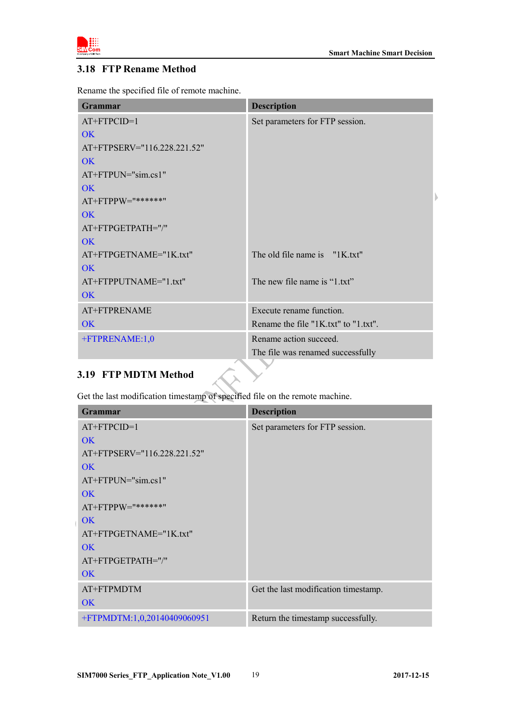

#### <span id="page-17-0"></span>**3.18 FTP Rename Method**

Rename the specified file of remote machine.

| <b>Grammar</b>              | <b>Description</b>                   |
|-----------------------------|--------------------------------------|
| AT+FTPCID=1                 | Set parameters for FTP session.      |
| OK                          |                                      |
| AT+FTPSERV="116.228.221.52" |                                      |
| $\overline{\text{OK}}$      |                                      |
| AT+FTPUN="sim.cs1"          |                                      |
| OK                          |                                      |
| AT+FTPPW="******"           |                                      |
| $\overline{\text{OK}}$      |                                      |
| AT+FTPGETPATH="/"           |                                      |
| OK                          |                                      |
| AT+FTPGETNAME="1K.txt"      | The old file name is "1K.txt"        |
| $\overline{\text{OK}}$      |                                      |
| AT+FTPPUTNAME="1.txt"       | The new file name is "1.txt"         |
| $\overline{\text{OK}}$      |                                      |
| AT+FTPRENAME                | Execute rename function.             |
| OK                          | Rename the file "1K.txt" to "1.txt". |
| +FTPRENAME:1,0              | Rename action succeed.               |
|                             | The file was renamed successfully    |
|                             |                                      |

## <span id="page-17-1"></span>**3.19 FTP MDTM Method**

Get the last modification timestamp of specified file on the remote machine.

| <b>Grammar</b>              | <b>Description</b>                   |
|-----------------------------|--------------------------------------|
| $AT+FTPCID=1$               | Set parameters for FTP session.      |
| OK                          |                                      |
| AT+FTPSERV="116.228.221.52" |                                      |
| OK                          |                                      |
| $AT+FTPUN="sim.cs1"$        |                                      |
| OK                          |                                      |
| $AT+FTPPW="******"$         |                                      |
| OK                          |                                      |
| AT+FTPGETNAME="1K.txt"      |                                      |
| OK                          |                                      |
| AT+FTPGETPATH="/"           |                                      |
| OK                          |                                      |
| AT+FTPMDTM                  | Get the last modification timestamp. |
| OK.                         |                                      |
| +FTPMDTM:1,0,20140409060951 | Return the timestamp successfully.   |

 $\overline{\phantom{0}}$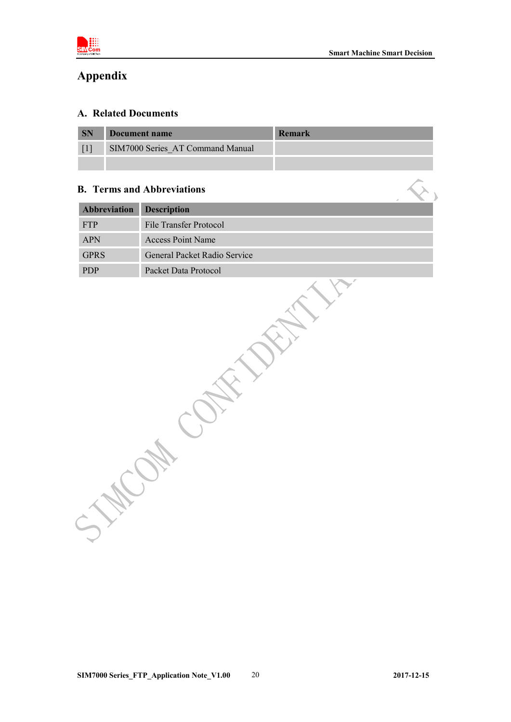

# <span id="page-18-0"></span>**Appendix**

#### <span id="page-18-1"></span>**A. Related Documents**

| <b>SN</b> | Document name                    | Remark |
|-----------|----------------------------------|--------|
|           | SIM7000 Series AT Command Manual |        |
|           |                                  |        |

#### <span id="page-18-2"></span>**B. Terms and Abbreviations**

| Abbreviation | <b>Description</b>           |
|--------------|------------------------------|
| FTP          | File Transfer Protocol       |
| APN          | Access Point Name            |
| <b>GPRS</b>  | General Packet Radio Service |
| <b>PDP</b>   | Packet Data Protocol         |
|              |                              |